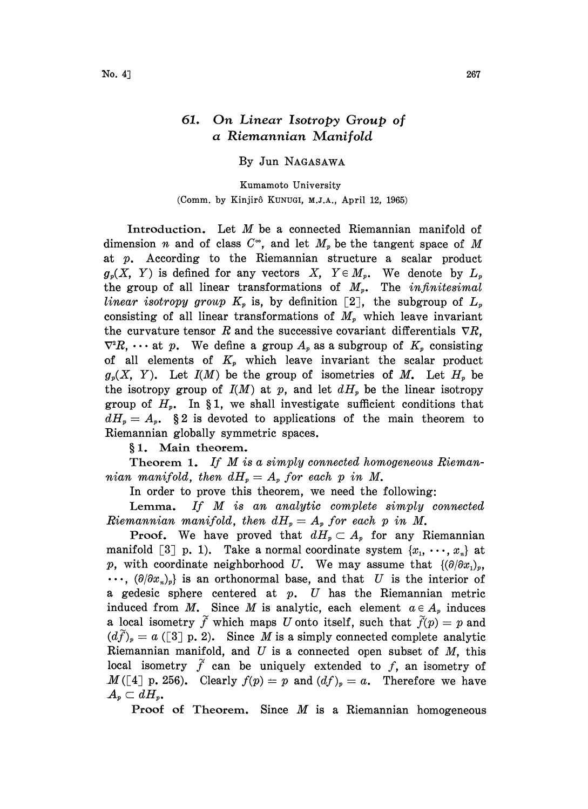## 61. On Linear Isotropy Group of a Riemannian Manifold

By Jun NAGASAWA

Kumamoto University (Comm. by Kinjir6 KUNUGI, M.J.A., April 12, 1965)

Introduction. Let M be <sup>a</sup> connected Riemannian manifold of dimension *n* and of class  $C^{\infty}$ , and let  $M_p$  be the tangent space of M at p. According to the Riemannian structure a scalar product  $g_p(X, Y)$  is defined for any vectors  $X, Y \in M_p$ . We denote by  $L_p$ the group of all linear transformations of  $M_p$ . The *infinitesimal* linear isotropy group  $K_p$  is, by definition [2], the subgroup of  $L_p$ consisting of all linear transformations of  $M<sub>p</sub>$  which leave invariant the curvature tensor R and the successive covariant differentials  $\nabla R$ ,  $\nabla^2 R$ ,  $\cdots$  at p. We define a group  $A_p$  as a subgroup of  $K_p$  consisting of all elements of  $K_p$  which leave invariant the scalar product  $g<sub>p</sub>(X, Y)$ . Let  $I(M)$  be the group of isometries of M. Let  $H<sub>p</sub>$  be the isotropy group of  $I(M)$  at p, and let  $dH_p$  be the linear isotropy group of  $H_p$ . In §1, we shall investigate sufficient conditions that  $dH_p = A_p$ . § 2 is devoted to applications of the main theorem to Riemannian globally symmetric spaces.

§1. Main theorem.

Theorem 1. If M is a simply connected homogeneous Riemannian manifold, then  $dH_p = A_p$  for each p in M.

In order to prove this theorem, we need the following:

Lemma. If  $M$  is an analytic complete simply connected Riemannian manifold, then  $dH_{p}=A_{p}$  for each p in M.

**Proof.** We have proved that  $dH_p \subset A_p$  for any Riemannian manifold [3] p. 1). Take a normal coordinate system  $\{x_1, \dots, x_n\}$  at p, with coordinate neighborhood U. We may assume that  $\{\partial/\partial x_1\}$ ,  $\cdots$ ,  $(\partial/\partial x_{n})_{p}$  is an orthonormal base, and that U is the interior of a gedesic sphere centered at  $p$ .  $U$  has the Riemannian metric induced from M. Since M is analytic, each element  $a \in A_p$  induces a local isometry  $\widetilde{f}$  which maps U onto itself, such that  $\widetilde{f}(p)=p$  and  $(d\tilde{f})_p = a$  ([3] p. 2). Since M is a simply connected complete analytic Riemannian manifold, and  $U$  is a connected open subset of  $M$ , this local isometry  $\tilde{f}$  can be uniquely extended to f, an isometry of  $M([4] p. 256)$ . Clearly  $f(p) = p$  and  $(df)_p = a$ . Therefore we have  $A_p \subset dH_p$ .

**Proof of Theorem.** Since  $M$  is a Riemannian homogeneous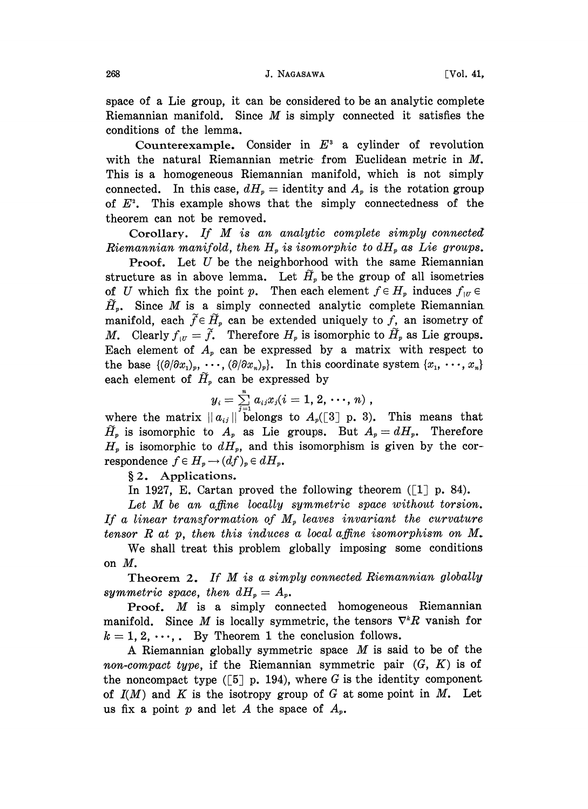space of a Lie group, it can be considered to be an analytic complete Riemannian manifold. Since  $M$  is simply connected it satisfies the conditions of the lemma.

Counterexample. Consider in  $E^3$  a cylinder of revolution with the natural Riemannian metric from Euclidean metric in M. This is a homogeneous Riemannian manifold, which is not simply connected. In this case,  $dH_p =$  identity and  $A_p$  is the rotation group of  $E^2$ . This example shows that the simply connectedness of the theorem can not be removed.

Corollary. If M is an analytic complete simply connected Riemannian manifold, then  $H<sub>p</sub>$  is isomorphic to  $dH<sub>p</sub>$  as Lie groups.

**Proof.** Let  $U$  be the neighborhood with the same Riemannian structure as in above lemma. Let  $\tilde{H}_p$  be the group of all isometries of U which fix the point p. Then each element  $f \in H_p$  induces  $f_{\vert v} \in$  $\tilde{H}_r$ . Since *M* is a simply connected analytic complete Riemannian manifold, each  $\tilde{f} \in \tilde{H}_p$  can be extended uniquely to f, an isometry of M. Clearly  $f_{\alpha} = \tilde{f}$ . Therefore  $H_p$  is isomorphic to  $\tilde{H}_p$  as Lie groups. Each element of  $A_p$  can be expressed by a matrix with respect to the base  $\{(\partial/\partial x_1)_p, \cdots, (\partial/\partial x_n)_p\}.$  In this coordinate system  $\{x_1, \cdots, x_n\}$ each element of  $\tilde{H}_p$  can be expressed by

$$
y_i = \sum_{i=1}^n a_{ij} x_j (i = 1, 2, \cdots, n) ,
$$

where the matrix  $||a_{ij}||$  belongs to  $A_i([3]$  p. 3). This means that.  $\widetilde{H}_p$  is isomorphic to  $A_p$  as Lie groups. But  $A_p = dH_p$ . Therefore  $H_p$  is isomorphic to  $dH_p$ , and this isomorphism is given by the correspondence  $f \in H_p \to (df)_p \in dH_p$ .<br>§ 2. Applications.

Applications.

In 1927, E. Cartan proved the following theorem  $(1 \rceil p. 84)$ .

Let  $M$  be an affine locally symmetric space without torsion. If a linear transformation of  $M<sub>v</sub>$  leaves invariant the curvature tensor R at p, then this induces a local affine isomorphism on  $M$ .

We shall treat this problem globally imposing some conditions on M,

Theorem 2. If M is a simply connected Riemannian globally symmetric space, then  $dH<sub>p</sub> = A<sub>p</sub>$ .

**Proof.**  $M$  is a simply connected homogeneous Riemannian manifold. Since M is locally symmetric, the tensors  $\nabla^k R$  vanish for  $k = 1, 2, \dots$ . By Theorem 1 the conclusion follows.

A Riemannian globally symmetric space  $M$  is said to be of the non-compact type, if the Riemannian symmetric pair  $(G, K)$  is of the noncompact type  $([5]$  p. 194), where G is the identity component of  $I(M)$  and K is the isotropy group of G at some point in M. Let us fix a point p and let A the space of  $A_p$ .